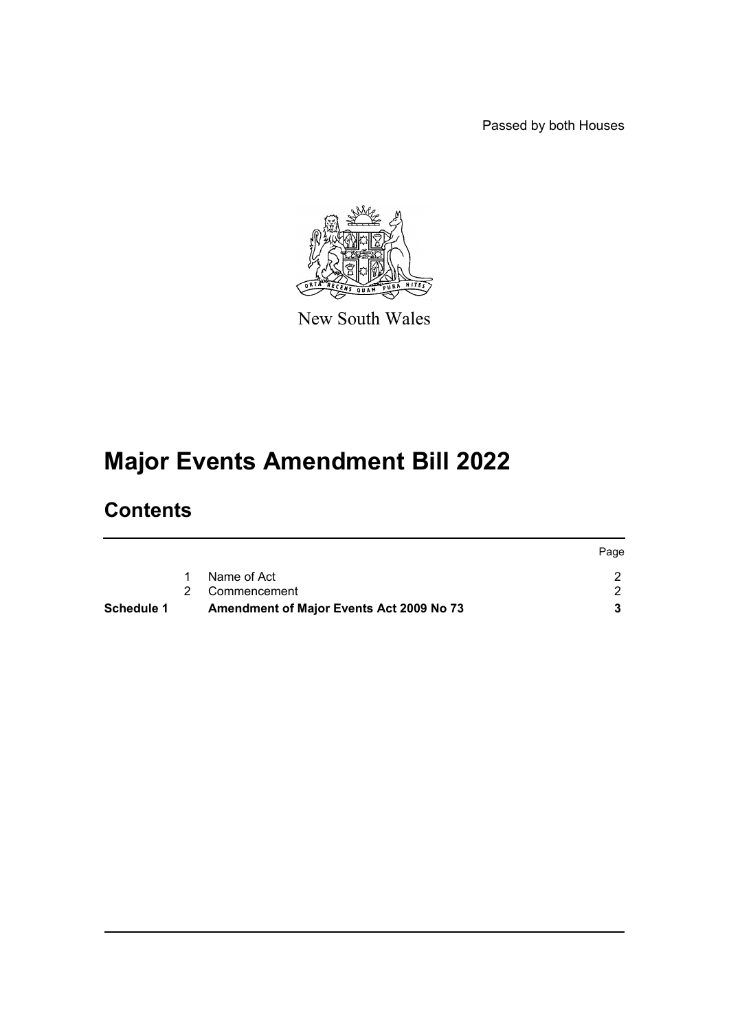Passed by both Houses



New South Wales

# **Major Events Amendment Bill 2022**

### **Contents**

|            |                                                 | Page |
|------------|-------------------------------------------------|------|
|            | Name of Act                                     |      |
|            | 2 Commencement                                  |      |
| Schedule 1 | <b>Amendment of Major Events Act 2009 No 73</b> |      |
|            |                                                 |      |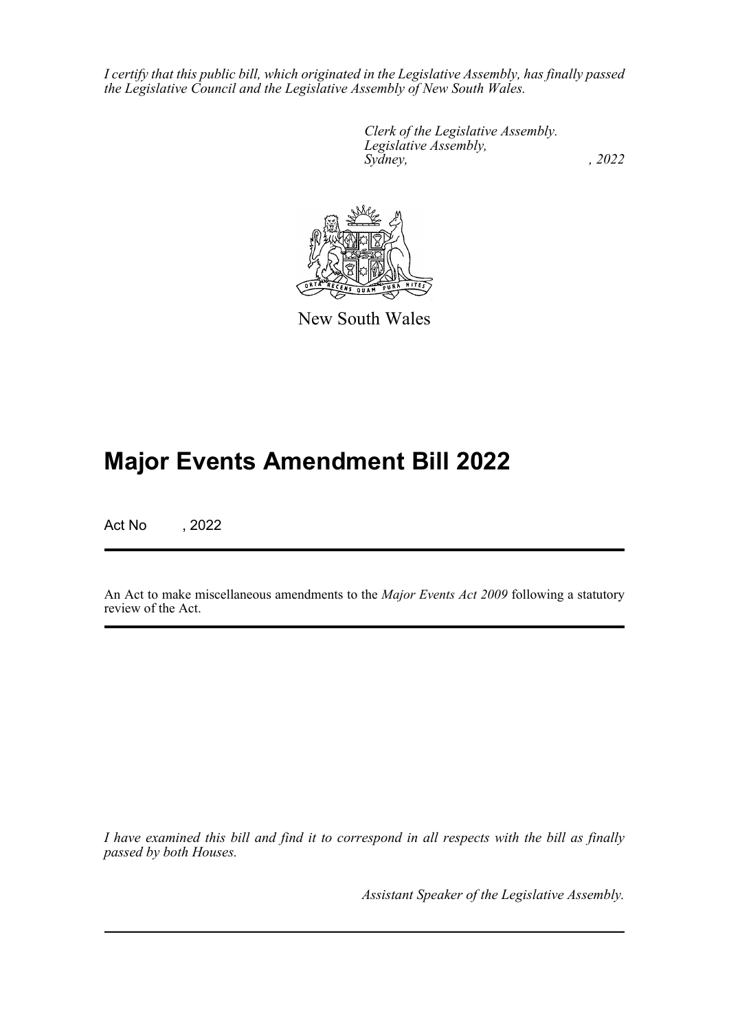*I certify that this public bill, which originated in the Legislative Assembly, has finally passed the Legislative Council and the Legislative Assembly of New South Wales.*

> *Clerk of the Legislative Assembly. Legislative Assembly, Sydney, , 2022*



New South Wales

## **Major Events Amendment Bill 2022**

Act No , 2022

An Act to make miscellaneous amendments to the *Major Events Act 2009* following a statutory review of the Act.

*I have examined this bill and find it to correspond in all respects with the bill as finally passed by both Houses.*

*Assistant Speaker of the Legislative Assembly.*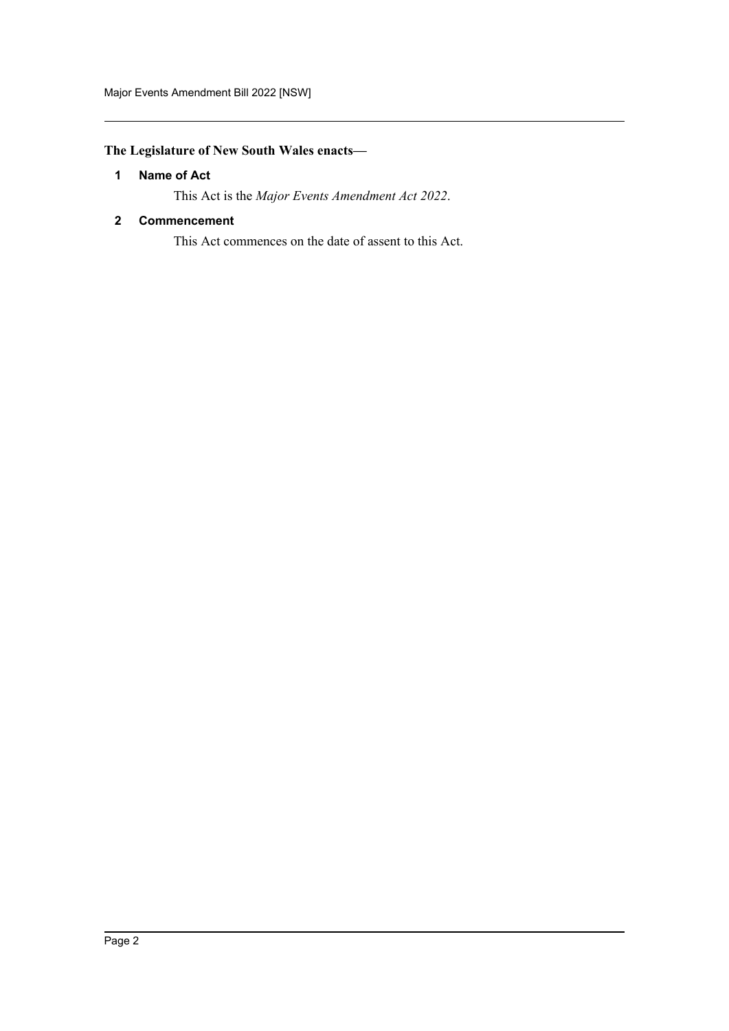#### <span id="page-2-0"></span>**The Legislature of New South Wales enacts—**

#### **1 Name of Act**

This Act is the *Major Events Amendment Act 2022*.

#### <span id="page-2-1"></span>**2 Commencement**

This Act commences on the date of assent to this Act.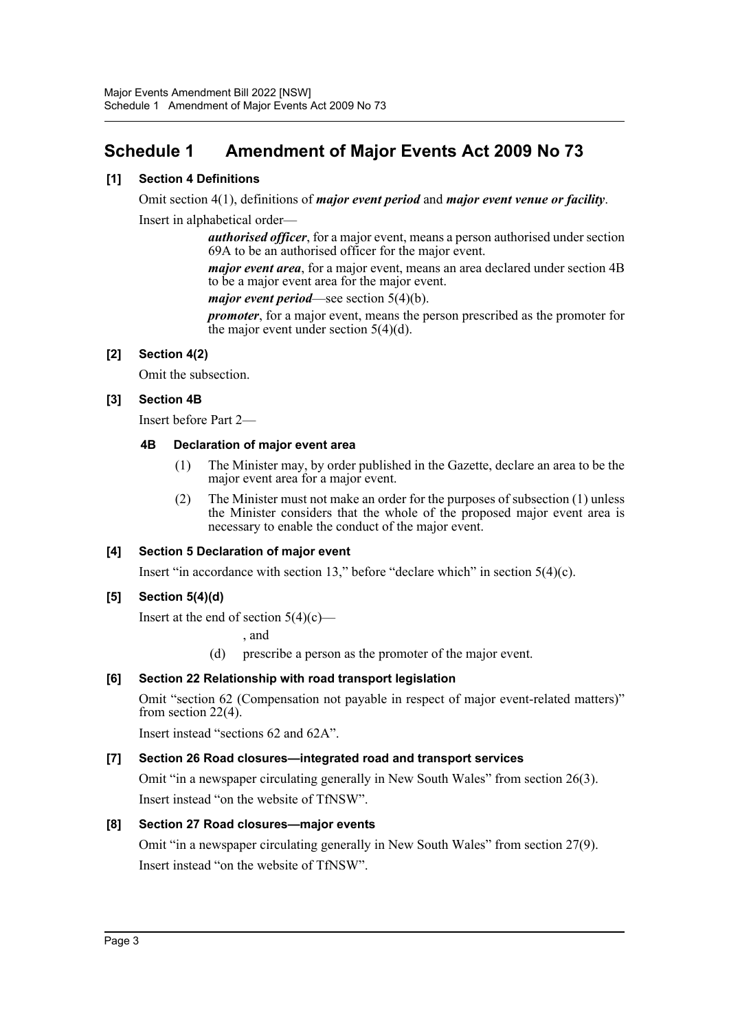### <span id="page-3-0"></span>**Schedule 1 Amendment of Major Events Act 2009 No 73**

#### **[1] Section 4 Definitions**

Omit section 4(1), definitions of *major event period* and *major event venue or facility*.

Insert in alphabetical order—

*authorised officer*, for a major event, means a person authorised under section 69A to be an authorised officer for the major event.

*major event area*, for a major event, means an area declared under section 4B to be a major event area for the major event.

*major event period*—see section 5(4)(b).

*promoter*, for a major event, means the person prescribed as the promoter for the major event under section 5(4)(d).

#### **[2] Section 4(2)**

Omit the subsection.

#### **[3] Section 4B**

Insert before Part 2—

#### **4B Declaration of major event area**

- (1) The Minister may, by order published in the Gazette, declare an area to be the major event area for a major event.
- (2) The Minister must not make an order for the purposes of subsection (1) unless the Minister considers that the whole of the proposed major event area is necessary to enable the conduct of the major event.

#### **[4] Section 5 Declaration of major event**

Insert "in accordance with section 13," before "declare which" in section 5(4)(c).

#### **[5] Section 5(4)(d)**

Insert at the end of section  $5(4)(c)$ —

, and

(d) prescribe a person as the promoter of the major event.

#### **[6] Section 22 Relationship with road transport legislation**

Omit "section 62 (Compensation not payable in respect of major event-related matters)" from section 22(4).

Insert instead "sections 62 and 62A".

#### **[7] Section 26 Road closures—integrated road and transport services**

Omit "in a newspaper circulating generally in New South Wales" from section 26(3). Insert instead "on the website of TfNSW".

#### **[8] Section 27 Road closures—major events**

Omit "in a newspaper circulating generally in New South Wales" from section 27(9). Insert instead "on the website of TfNSW".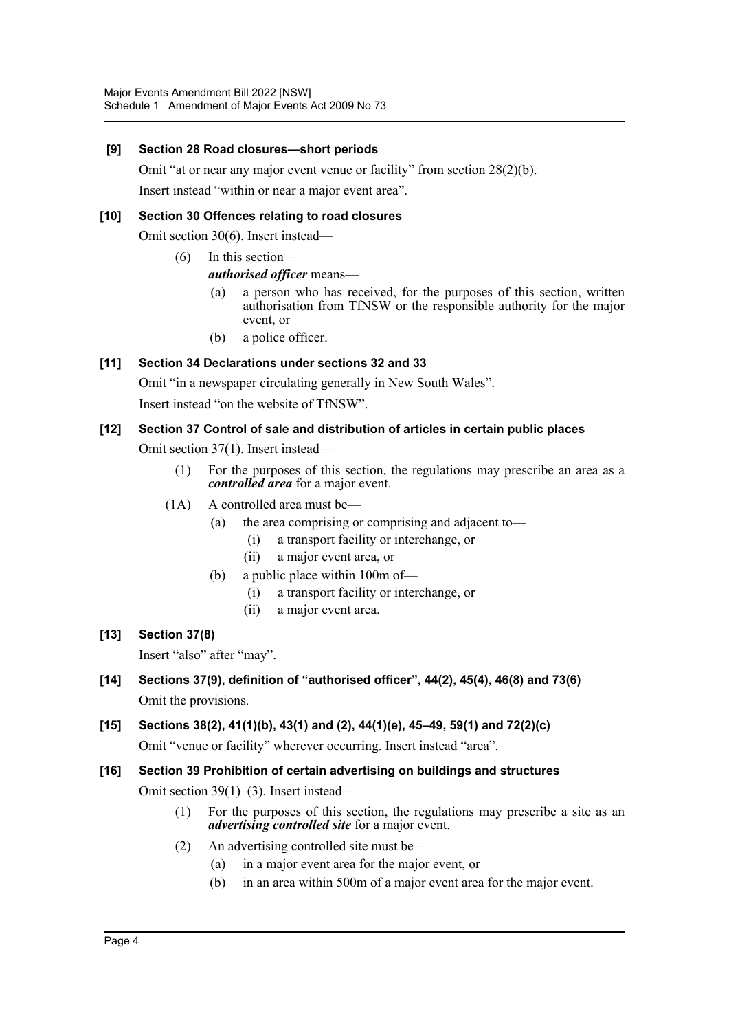#### **[9] Section 28 Road closures—short periods**

Omit "at or near any major event venue or facility" from section 28(2)(b). Insert instead "within or near a major event area".

#### **[10] Section 30 Offences relating to road closures**

Omit section 30(6). Insert instead—

- (6) In this section
	- *authorised officer* means—
		- (a) a person who has received, for the purposes of this section, written authorisation from TfNSW or the responsible authority for the major event, or
		- (b) a police officer.

#### **[11] Section 34 Declarations under sections 32 and 33**

Omit "in a newspaper circulating generally in New South Wales".

Insert instead "on the website of TfNSW".

#### **[12] Section 37 Control of sale and distribution of articles in certain public places**

Omit section 37(1). Insert instead—

- (1) For the purposes of this section, the regulations may prescribe an area as a *controlled area* for a major event.
- (1A) A controlled area must be—
	- (a) the area comprising or comprising and adjacent to—
		- (i) a transport facility or interchange, or
		- (ii) a major event area, or
	- (b) a public place within 100m of—
		- (i) a transport facility or interchange, or
		- (ii) a major event area.

#### **[13] Section 37(8)**

Insert "also" after "may".

- **[14] Sections 37(9), definition of "authorised officer", 44(2), 45(4), 46(8) and 73(6)** Omit the provisions.
- **[15] Sections 38(2), 41(1)(b), 43(1) and (2), 44(1)(e), 45–49, 59(1) and 72(2)(c)** Omit "venue or facility" wherever occurring. Insert instead "area".
- **[16] Section 39 Prohibition of certain advertising on buildings and structures** Omit section 39(1)–(3). Insert instead—
	- (1) For the purposes of this section, the regulations may prescribe a site as an *advertising controlled site* for a major event.
	- (2) An advertising controlled site must be—
		- (a) in a major event area for the major event, or
		- (b) in an area within 500m of a major event area for the major event.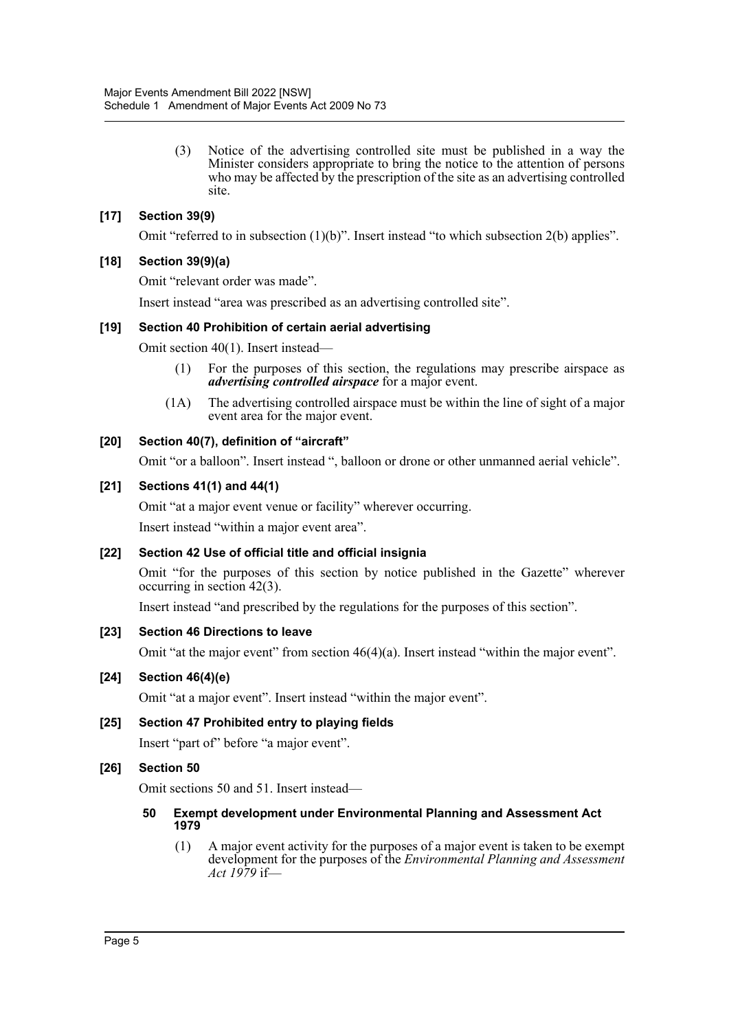(3) Notice of the advertising controlled site must be published in a way the Minister considers appropriate to bring the notice to the attention of persons who may be affected by the prescription of the site as an advertising controlled site.

#### **[17] Section 39(9)**

Omit "referred to in subsection  $(1)(b)$ ". Insert instead "to which subsection  $2(b)$  applies".

#### **[18] Section 39(9)(a)**

Omit "relevant order was made".

Insert instead "area was prescribed as an advertising controlled site".

#### **[19] Section 40 Prohibition of certain aerial advertising**

Omit section 40(1). Insert instead—

- (1) For the purposes of this section, the regulations may prescribe airspace as *advertising controlled airspace* for a major event.
- (1A) The advertising controlled airspace must be within the line of sight of a major event area for the major event.

#### **[20] Section 40(7), definition of "aircraft"**

Omit "or a balloon". Insert instead ", balloon or drone or other unmanned aerial vehicle".

#### **[21] Sections 41(1) and 44(1)**

Omit "at a major event venue or facility" wherever occurring. Insert instead "within a major event area".

#### **[22] Section 42 Use of official title and official insignia**

Omit "for the purposes of this section by notice published in the Gazette" wherever occurring in section 42(3).

Insert instead "and prescribed by the regulations for the purposes of this section".

#### **[23] Section 46 Directions to leave**

Omit "at the major event" from section 46(4)(a). Insert instead "within the major event".

#### **[24] Section 46(4)(e)**

Omit "at a major event". Insert instead "within the major event".

#### **[25] Section 47 Prohibited entry to playing fields**

Insert "part of" before "a major event".

#### **[26] Section 50**

Omit sections 50 and 51. Insert instead—

#### **50 Exempt development under Environmental Planning and Assessment Act 1979**

(1) A major event activity for the purposes of a major event is taken to be exempt development for the purposes of the *Environmental Planning and Assessment Act 1979* if—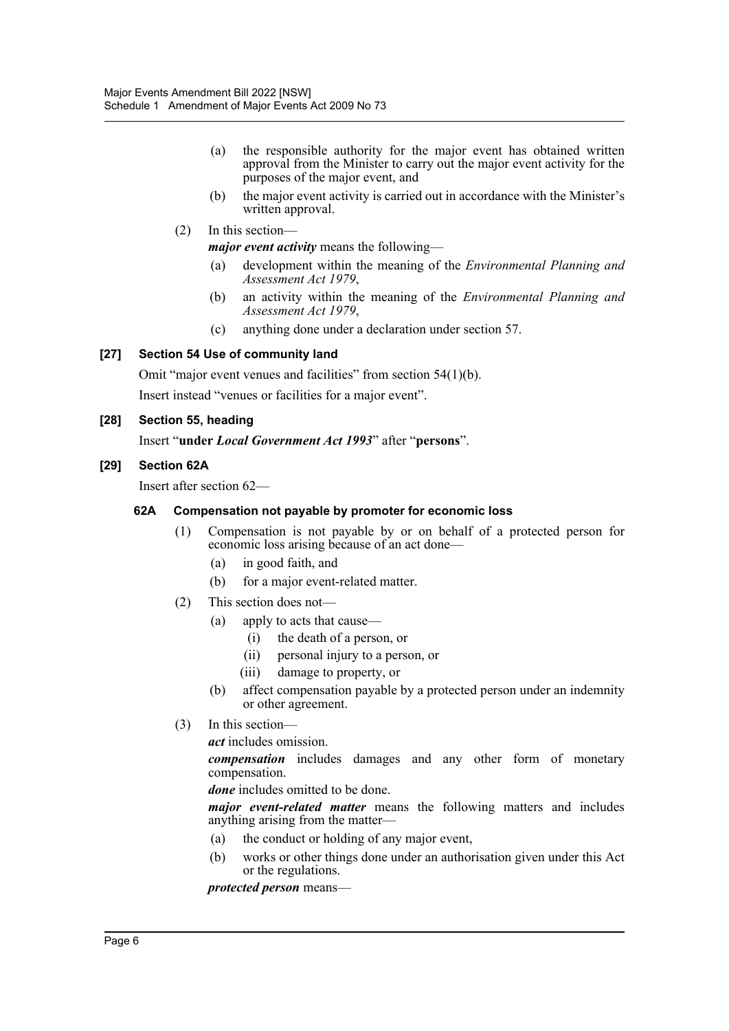- (a) the responsible authority for the major event has obtained written approval from the Minister to carry out the major event activity for the purposes of the major event, and
- (b) the major event activity is carried out in accordance with the Minister's written approval.
- (2) In this section—

*major event activity* means the following—

- (a) development within the meaning of the *Environmental Planning and Assessment Act 1979*,
- (b) an activity within the meaning of the *Environmental Planning and Assessment Act 1979*,
- (c) anything done under a declaration under section 57.

#### **[27] Section 54 Use of community land**

Omit "major event venues and facilities" from section 54(1)(b).

Insert instead "venues or facilities for a major event".

#### **[28] Section 55, heading**

Insert "**under** *Local Government Act 1993*" after "**persons**".

#### **[29] Section 62A**

Insert after section 62—

#### **62A Compensation not payable by promoter for economic loss**

- (1) Compensation is not payable by or on behalf of a protected person for economic loss arising because of an act done—
	- (a) in good faith, and
	- (b) for a major event-related matter.
- (2) This section does not—
	- (a) apply to acts that cause—
		- (i) the death of a person, or
		- (ii) personal injury to a person, or
		- (iii) damage to property, or
	- (b) affect compensation payable by a protected person under an indemnity or other agreement.
- (3) In this section—

*act* includes omission.

*compensation* includes damages and any other form of monetary compensation.

*done* includes omitted to be done.

*major event-related matter* means the following matters and includes anything arising from the matter—

- (a) the conduct or holding of any major event,
- (b) works or other things done under an authorisation given under this Act or the regulations.

*protected person* means—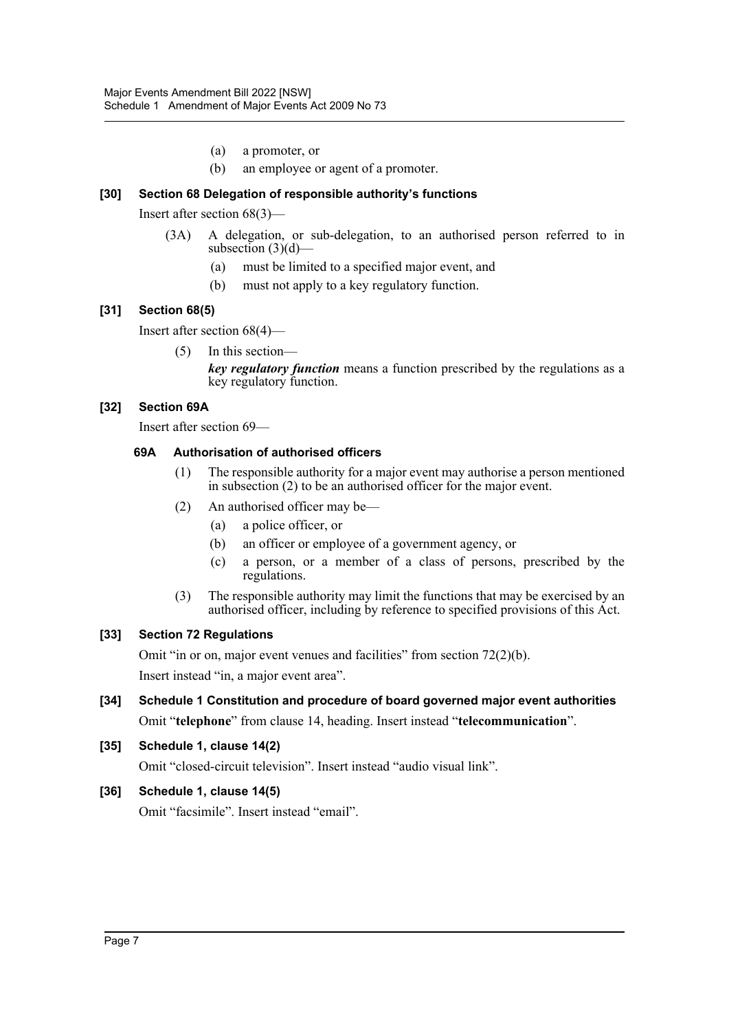- (a) a promoter, or
- (b) an employee or agent of a promoter.

#### **[30] Section 68 Delegation of responsible authority's functions**

Insert after section 68(3)—

- (3A) A delegation, or sub-delegation, to an authorised person referred to in subsection  $(3)(d)$ —
	- (a) must be limited to a specified major event, and
	- (b) must not apply to a key regulatory function.

#### **[31] Section 68(5)**

Insert after section 68(4)—

(5) In this section—

*key regulatory function* means a function prescribed by the regulations as a key regulatory function.

#### **[32] Section 69A**

Insert after section 69—

#### **69A Authorisation of authorised officers**

- (1) The responsible authority for a major event may authorise a person mentioned in subsection (2) to be an authorised officer for the major event.
- (2) An authorised officer may be—
	- (a) a police officer, or
	- (b) an officer or employee of a government agency, or
	- (c) a person, or a member of a class of persons, prescribed by the regulations.
- (3) The responsible authority may limit the functions that may be exercised by an authorised officer, including by reference to specified provisions of this Act.

#### **[33] Section 72 Regulations**

Omit "in or on, major event venues and facilities" from section 72(2)(b).

Insert instead "in, a major event area".

**[34] Schedule 1 Constitution and procedure of board governed major event authorities** Omit "**telephone**" from clause 14, heading. Insert instead "**telecommunication**".

#### **[35] Schedule 1, clause 14(2)**

Omit "closed-circuit television". Insert instead "audio visual link".

#### **[36] Schedule 1, clause 14(5)**

Omit "facsimile". Insert instead "email".